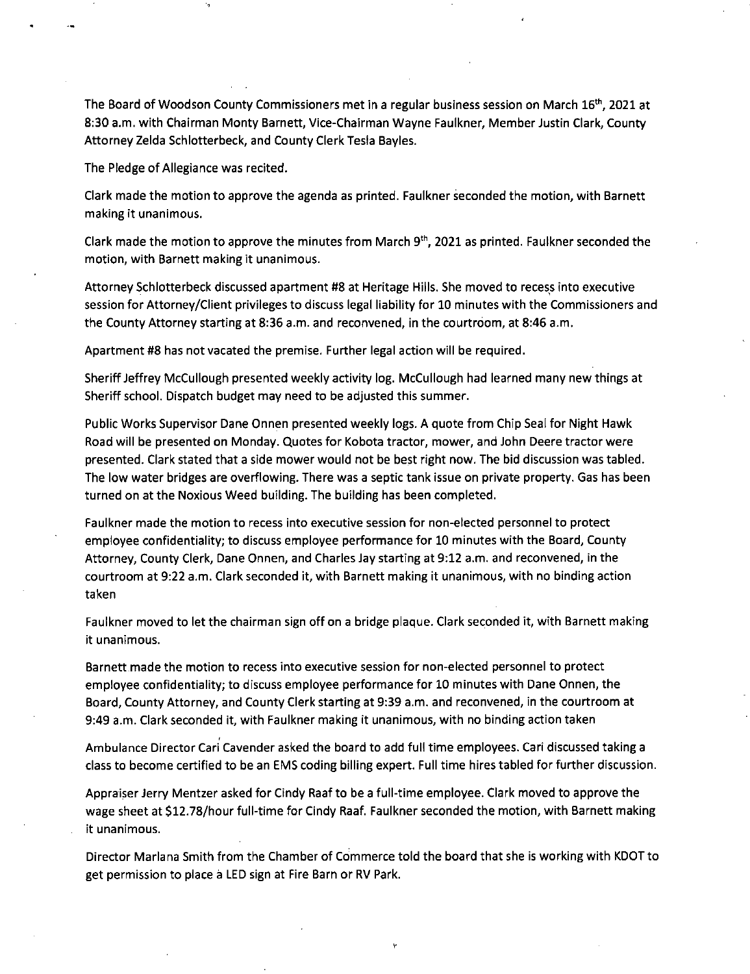The Board of Woodson County Commissioners met in a regular business session on March 16<sup>th</sup>, 2021 at 8:30 a.m. with Chairman Monty Barnett, Vice-Chairman Wayne Faulkner, Member Justin Clark, County Attorney Zelda Schlotterbeck, and County Clerk Tesla Bayles.

The Pledge of Allegiance was recited.

Clark made the motion to approve the agenda as printed. Faulkner seconded the motion, with Barnett making it unanimous.

Clark made the motion to approve the minutes from March  $9<sup>th</sup>$ , 2021 as printed. Faulkner seconded the motion, with Barnett making it unanimous.

Attorney Schlotterbeck discussed apartment #8 at Heritage Hills. She moved to recess into executive session for Attorney/Client privileges to discuss legal liability for 10 minutes with the Commissioners and the County Attorney starting at 8:36 a.m. and reconvened, in the courtroom, at 8:46 a.m.

Apartment #8 has not vacated the premise. Further legal action will be required.

Sheriff Jeffrey McCullough presented weekly activity log. McCullough had learned many new things at Sheriff school. Dispatch budget may need to be adjusted this summer.

Public Works Supervisor Dane Onnen presented weekly logs. A quote from Chip Seal for Night Hawk Road will be presented on Monday. Quotes for Kobota tractor, mower, and John Deere tractor were presented. Clark stated that a side mower would not be best right now. The bid discussion was tabled. The low water bridges are overflowing. There was a septic tank issue on private property. Gas has been turned on at the Noxious Weed building. The building has been completed.

Faulkner made the motion to recess into executive session for non-elected personnel to protect employee confidentiality; to discuss employee performance for 10 minutes with the Board, County Attorney, County Clerk, Dane Onnen, and Charles Jay starting at 9:12 a.m. and reconvened, in the courtroom at 9:22 a.m. Clark seconded it, with Barnett making it unanimous, with no binding action taken

Faulkner moved to let the chairman sign off on a bridge plaque. Clark seconded it, with Barnett making it unanimous.

Barnett made the motion to recess into executive session for non-elected personnel to protect employee confidentiality; to discuss employee performance for 10 minutes with Dane Onnen, the Board, County Attorney, and County Clerk starting at 9:39 a.m. and reconvened, in the courtroom at 9:49 a.m. Clark seconded it, with Faulkner making it unanimous, with no binding action taken

Ambulance Director Cari Cavender asked the board to add full time employees. Cari discussed taking a class to become certified to be an EMS coding billing expert. Full time hires tabled for further discussion.

Appraiser Jerry Mentzer asked for Cindy Raaf to be a full-time employee. Clark moved to approve the wage sheet at \$12.78/hour full-time for Cindy Raaf. Faulkner seconded the motion, with Barnett making it unanimous.

Director Mariana Smith from the Chamber of Commerce told the board that she is working with KDOT to get permission to place a LED sign at Fire Barn or RV Park.